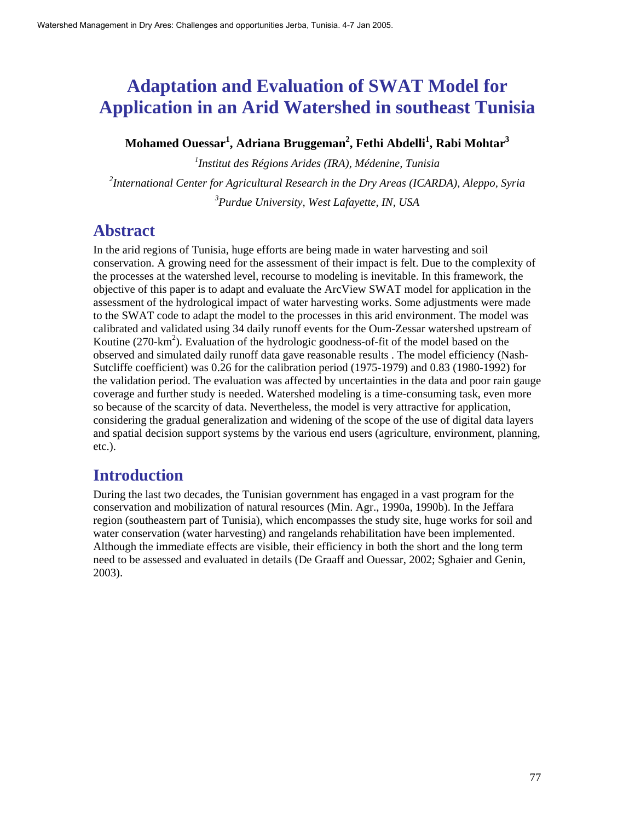# **Adaptation and Evaluation of SWAT Model for Application in an Arid Watershed in southeast Tunisia**

 $\mathbf{M}$ ohamed Ouessar $^{1}$ , Adriana Bruggeman $^{2}$ , Fethi Abdelli $^{1}$ , Rabi Mohtar $^{3}$ 

*1 Institut des Régions Arides (IRA), Médenine, Tunisia 2 International Center for Agricultural Research in the Dry Areas (ICARDA), Aleppo, Syria 3 Purdue University, West Lafayette, IN, USA* 

# **Abstract**

In the arid regions of Tunisia, huge efforts are being made in water harvesting and soil conservation. A growing need for the assessment of their impact is felt. Due to the complexity of the processes at the watershed level, recourse to modeling is inevitable. In this framework, the objective of this paper is to adapt and evaluate the ArcView SWAT model for application in the assessment of the hydrological impact of water harvesting works. Some adjustments were made to the SWAT code to adapt the model to the processes in this arid environment. The model was calibrated and validated using 34 daily runoff events for the Oum-Zessar watershed upstream of Koutine  $(270 \text{-} \text{km}^2)$ . Evaluation of the hydrologic goodness-of-fit of the model based on the observed and simulated daily runoff data gave reasonable results . The model efficiency (Nash-Sutcliffe coefficient) was 0.26 for the calibration period (1975-1979) and 0.83 (1980-1992) for the validation period. The evaluation was affected by uncertainties in the data and poor rain gauge coverage and further study is needed. Watershed modeling is a time-consuming task, even more so because of the scarcity of data. Nevertheless, the model is very attractive for application, considering the gradual generalization and widening of the scope of the use of digital data layers and spatial decision support systems by the various end users (agriculture, environment, planning, etc.).

# **Introduction**

During the last two decades, the Tunisian government has engaged in a vast program for the conservation and mobilization of natural resources (Min. Agr., 1990a, 1990b). In the Jeffara region (southeastern part of Tunisia), which encompasses the study site, huge works for soil and water conservation (water harvesting) and rangelands rehabilitation have been implemented. Although the immediate effects are visible, their efficiency in both the short and the long term need to be assessed and evaluated in details (De Graaff and Ouessar, 2002; Sghaier and Genin, 2003).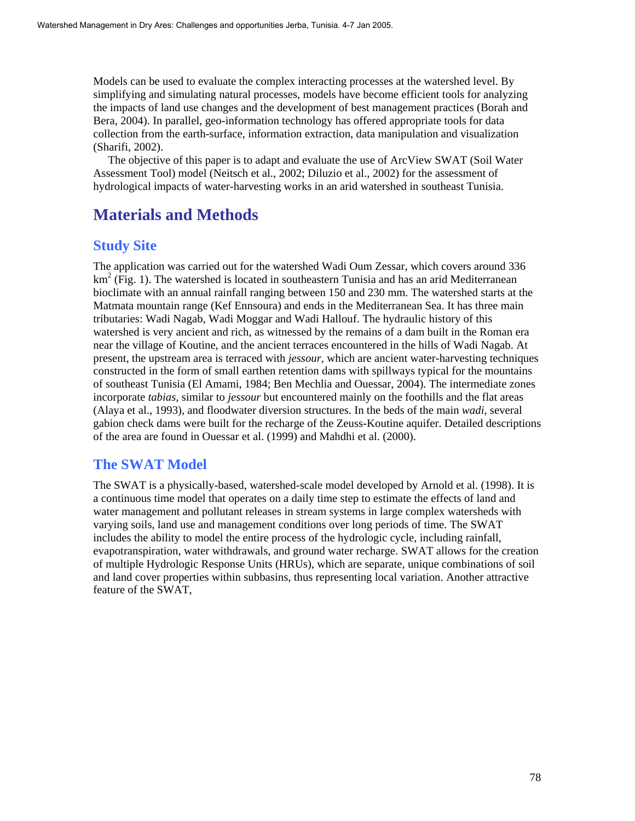Models can be used to evaluate the complex interacting processes at the watershed level. By simplifying and simulating natural processes, models have become efficient tools for analyzing the impacts of land use changes and the development of best management practices (Borah and Bera, 2004). In parallel, geo-information technology has offered appropriate tools for data collection from the earth-surface, information extraction, data manipulation and visualization (Sharifi, 2002).

The objective of this paper is to adapt and evaluate the use of ArcView SWAT (Soil Water Assessment Tool) model (Neitsch et al., 2002; Diluzio et al., 2002) for the assessment of hydrological impacts of water-harvesting works in an arid watershed in southeast Tunisia.

# **Materials and Methods**

## **Study Site**

The application was carried out for the watershed Wadi Oum Zessar, which covers around 336 km<sup>2</sup> (Fig. 1). The watershed is located in southeastern Tunisia and has an arid Mediterranean bioclimate with an annual rainfall ranging between 150 and 230 mm. The watershed starts at the Matmata mountain range (Kef Ennsoura) and ends in the Mediterranean Sea. It has three main tributaries: Wadi Nagab, Wadi Moggar and Wadi Hallouf. The hydraulic history of this watershed is very ancient and rich, as witnessed by the remains of a dam built in the Roman era near the village of Koutine, and the ancient terraces encountered in the hills of Wadi Nagab. At present, the upstream area is terraced with *jessour,* which are ancient water-harvesting techniques constructed in the form of small earthen retention dams with spillways typical for the mountains of southeast Tunisia (El Amami, 1984; Ben Mechlia and Ouessar, 2004). The intermediate zones incorporate *tabias,* similar to *jessour* but encountered mainly on the foothills and the flat areas (Alaya et al., 1993), and floodwater diversion structures. In the beds of the main *wadi*, several gabion check dams were built for the recharge of the Zeuss-Koutine aquifer. Detailed descriptions of the area are found in Ouessar et al. (1999) and Mahdhi et al. (2000).

# **The SWAT Model**

The SWAT is a physically-based, watershed-scale model developed by Arnold et al. (1998). It is a continuous time model that operates on a daily time step to estimate the effects of land and water management and pollutant releases in stream systems in large complex watersheds with varying soils, land use and management conditions over long periods of time. The SWAT includes the ability to model the entire process of the hydrologic cycle, including rainfall, evapotranspiration, water withdrawals, and ground water recharge. SWAT allows for the creation of multiple Hydrologic Response Units (HRUs), which are separate, unique combinations of soil and land cover properties within subbasins, thus representing local variation. Another attractive feature of the SWAT,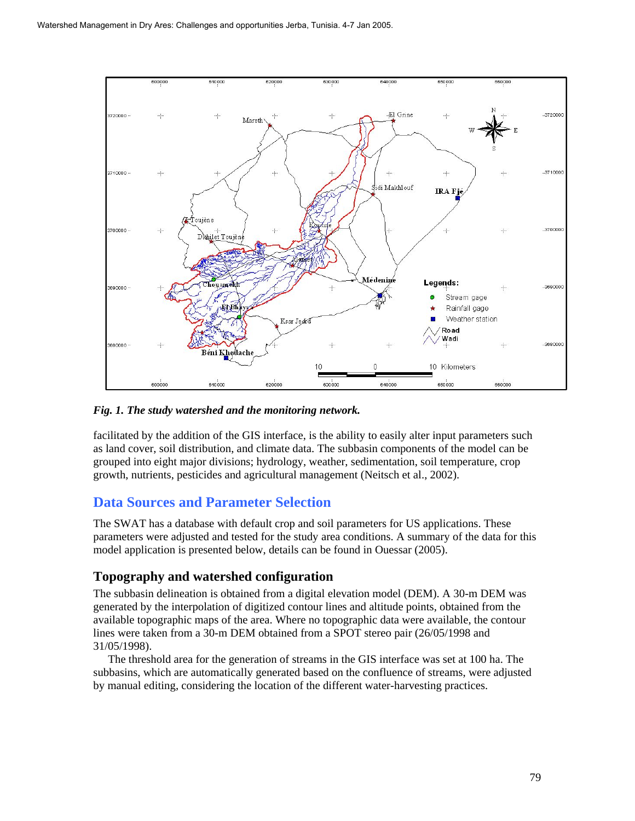

#### *Fig. 1. The study watershed and the monitoring network.*

facilitated by the addition of the GIS interface, is the ability to easily alter input parameters such as land cover, soil distribution, and climate data. The subbasin components of the model can be grouped into eight major divisions; hydrology, weather, sedimentation, soil temperature, crop growth, nutrients, pesticides and agricultural management (Neitsch et al., 2002).

### **Data Sources and Parameter Selection**

The SWAT has a database with default crop and soil parameters for US applications. These parameters were adjusted and tested for the study area conditions. A summary of the data for this model application is presented below, details can be found in Ouessar (2005).

### **Topography and watershed configuration**

The subbasin delineation is obtained from a digital elevation model (DEM). A 30-m DEM was generated by the interpolation of digitized contour lines and altitude points, obtained from the available topographic maps of the area. Where no topographic data were available, the contour lines were taken from a 30-m DEM obtained from a SPOT stereo pair (26/05/1998 and 31/05/1998).

The threshold area for the generation of streams in the GIS interface was set at 100 ha. The subbasins, which are automatically generated based on the confluence of streams, were adjusted by manual editing, considering the location of the different water-harvesting practices.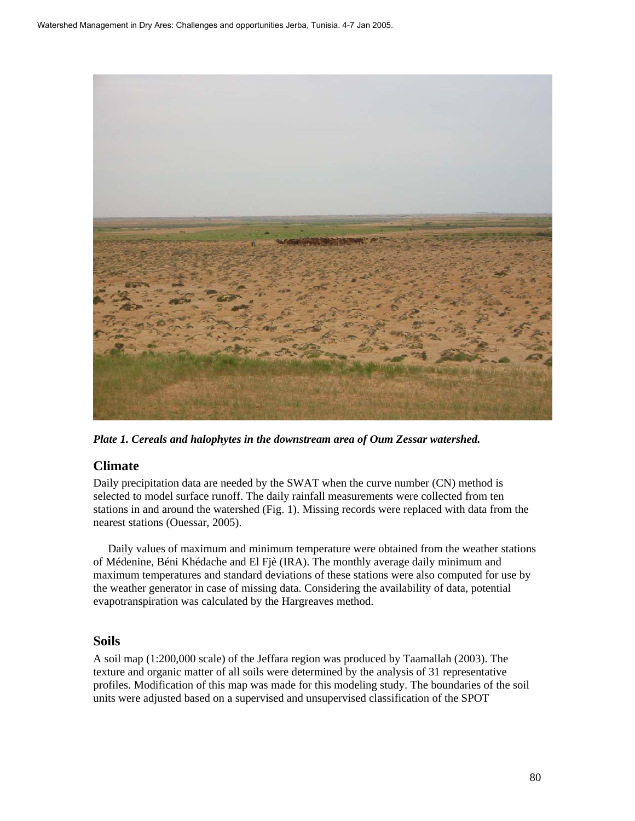

*Plate 1. Cereals and halophytes in the downstream area of Oum Zessar watershed.* 

### **Climate**

Daily precipitation data are needed by the SWAT when the curve number (CN) method is selected to model surface runoff. The daily rainfall measurements were collected from ten stations in and around the watershed (Fig. 1). Missing records were replaced with data from the nearest stations (Ouessar, 2005).

Daily values of maximum and minimum temperature were obtained from the weather stations of Médenine, Béni Khédache and El Fjè (IRA). The monthly average daily minimum and maximum temperatures and standard deviations of these stations were also computed for use by the weather generator in case of missing data. Considering the availability of data, potential evapotranspiration was calculated by the Hargreaves method.

#### **Soils**

A soil map (1:200,000 scale) of the Jeffara region was produced by Taamallah (2003). The texture and organic matter of all soils were determined by the analysis of 31 representative profiles. Modification of this map was made for this modeling study. The boundaries of the soil units were adjusted based on a supervised and unsupervised classification of the SPOT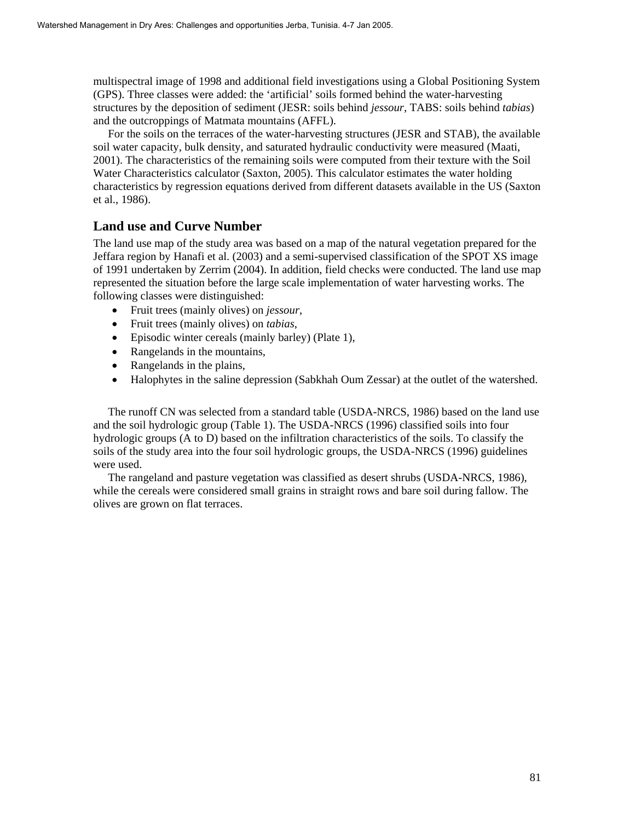multispectral image of 1998 and additional field investigations using a Global Positioning System (GPS). Three classes were added: the 'artificial' soils formed behind the water-harvesting structures by the deposition of sediment (JESR: soils behind *jessour*, TABS: soils behind *tabias*) and the outcroppings of Matmata mountains (AFFL).

For the soils on the terraces of the water-harvesting structures (JESR and STAB), the available soil water capacity, bulk density, and saturated hydraulic conductivity were measured (Maati, 2001). The characteristics of the remaining soils were computed from their texture with the Soil Water Characteristics calculator (Saxton, 2005). This calculator estimates the water holding characteristics by regression equations derived from different datasets available in the US (Saxton et al., 1986).

### **Land use and Curve Number**

The land use map of the study area was based on a map of the natural vegetation prepared for the Jeffara region by Hanafi et al. (2003) and a semi-supervised classification of the SPOT XS image of 1991 undertaken by Zerrim (2004). In addition, field checks were conducted. The land use map represented the situation before the large scale implementation of water harvesting works. The following classes were distinguished:

- Fruit trees (mainly olives) on *jessour*,
- Fruit trees (mainly olives) on *tabias*,
- Episodic winter cereals (mainly barley) (Plate 1),
- Rangelands in the mountains,
- Rangelands in the plains,
- Halophytes in the saline depression (Sabkhah Oum Zessar) at the outlet of the watershed.

The runoff CN was selected from a standard table (USDA-NRCS, 1986) based on the land use and the soil hydrologic group (Table 1). The USDA-NRCS (1996) classified soils into four hydrologic groups (A to D) based on the infiltration characteristics of the soils. To classify the soils of the study area into the four soil hydrologic groups, the USDA-NRCS (1996) guidelines were used.

The rangeland and pasture vegetation was classified as desert shrubs (USDA-NRCS, 1986), while the cereals were considered small grains in straight rows and bare soil during fallow. The olives are grown on flat terraces.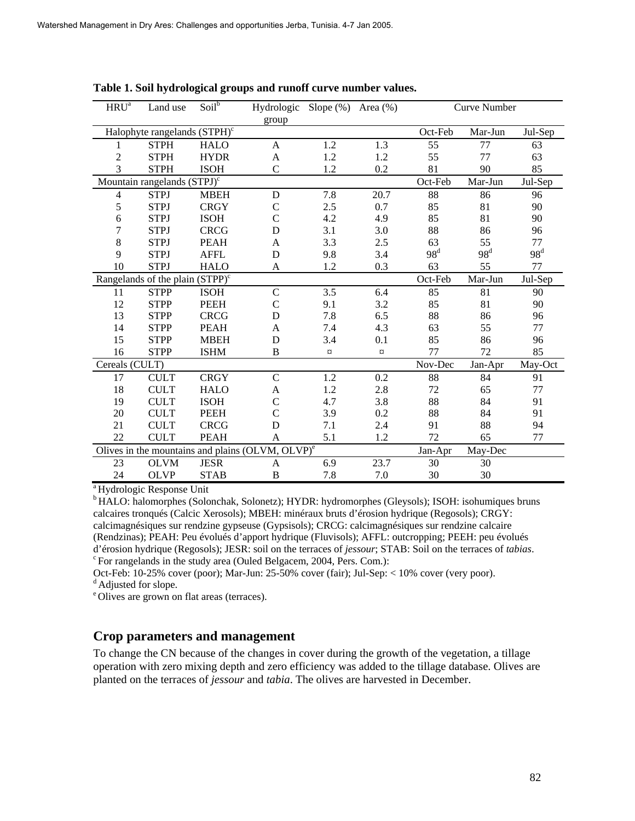| $HRU^a$                                                      | Land use                                 | Soil <sup>b</sup> | Hydrologic Slope (%) Area (%) |             |         | <b>Curve Number</b> |         |                 |
|--------------------------------------------------------------|------------------------------------------|-------------------|-------------------------------|-------------|---------|---------------------|---------|-----------------|
|                                                              |                                          |                   | group                         |             |         |                     |         |                 |
|                                                              | Halophyte rangelands (STPH) <sup>c</sup> |                   |                               |             |         | Oct-Feb             | Mar-Jun | Jul-Sep         |
| 1                                                            | <b>STPH</b>                              | <b>HALO</b>       | $\mathbf{A}$                  | 1.2         | 1.3     | 55                  | 77      | 63              |
| $\overline{c}$                                               | <b>STPH</b>                              | <b>HYDR</b>       | $\mathbf{A}$                  | 1.2         | $1.2\,$ | 55                  | 77      | 63              |
| 3                                                            | <b>STPH</b>                              | <b>ISOH</b>       | $\mathcal{C}$                 | 1.2         | 0.2     | 81                  | 90      | 85              |
| Mountain rangelands (STPJ) <sup>c</sup>                      |                                          |                   |                               |             |         | Oct-Feb             | Mar-Jun | Jul-Sep         |
| $\overline{4}$                                               | <b>STPJ</b>                              | <b>MBEH</b>       | $\mathbf D$                   | 7.8         | 20.7    | 88                  | 86      | 96              |
| 5                                                            | <b>STPJ</b>                              | <b>CRGY</b>       | $\mathsf C$                   | 2.5         | 0.7     | 85                  | 81      | 90              |
| 6                                                            | <b>STPJ</b>                              | <b>ISOH</b>       | $\overline{C}$                | 4.2         | 4.9     | 85                  | 81      | 90              |
| 7                                                            | <b>STPJ</b>                              | <b>CRCG</b>       | D                             | 3.1         | 3.0     | 88                  | 86      | 96              |
| $\,8\,$                                                      | <b>STPJ</b>                              | <b>PEAH</b>       | A                             | 3.3         | 2.5     | 63                  | 55      | 77              |
| 9                                                            | <b>STPJ</b>                              | <b>AFFL</b>       | D                             | 9.8         | 3.4     | $98^d$              | $98^d$  | 98 <sup>d</sup> |
| $10\,$                                                       | <b>STPJ</b>                              | <b>HALO</b>       | A                             | 1.2         | 0.3     | 63                  | 55      | 77              |
| Rangelands of the plain $(STPP)^c$                           |                                          |                   |                               |             |         | Oct-Feb             | Mar-Jun | Jul-Sep         |
| 11                                                           | <b>STPP</b>                              | <b>ISOH</b>       | $\mathbf C$                   | 3.5         | 6.4     | 85                  | 81      | 90              |
| 12                                                           | <b>STPP</b>                              | <b>PEEH</b>       | $\mathcal{C}$                 | 9.1         | 3.2     | 85                  | 81      | 90              |
| 13                                                           | <b>STPP</b>                              | <b>CRCG</b>       | D                             | 7.8         | 6.5     | 88                  | 86      | 96              |
| 14                                                           | <b>STPP</b>                              | <b>PEAH</b>       | A                             | 7.4         | 4.3     | 63                  | 55      | 77              |
| 15                                                           | <b>STPP</b>                              | <b>MBEH</b>       | D                             | 3.4         | 0.1     | 85                  | 86      | 96              |
| 16                                                           | <b>STPP</b>                              | <b>ISHM</b>       | B                             | $\boxtimes$ | $\beta$ | 77                  | 72      | 85              |
| Cereals (CULT)                                               |                                          |                   |                               |             |         | Nov-Dec             | Jan-Apr | May-Oct         |
| 17                                                           | <b>CULT</b>                              | <b>CRGY</b>       | $\mathcal{C}$                 | 1.2         | 0.2     | 88                  | 84      | 91              |
| 18                                                           | <b>CULT</b>                              | <b>HALO</b>       | A                             | 1.2         | $2.8\,$ | 72                  | 65      | 77              |
| 19                                                           | <b>CULT</b>                              | <b>ISOH</b>       | $\mathcal{C}$                 | 4.7         | 3.8     | 88                  | 84      | 91              |
| 20                                                           | <b>CULT</b>                              | <b>PEEH</b>       | $\mathcal{C}$                 | 3.9         | 0.2     | 88                  | 84      | 91              |
| 21                                                           | <b>CULT</b>                              | <b>CRCG</b>       | D                             | 7.1         | 2.4     | 91                  | 88      | 94              |
| 22                                                           | <b>CULT</b>                              | <b>PEAH</b>       | A                             | 5.1         | 1.2     | 72                  | 65      | 77              |
| Olives in the mountains and plains (OLVM, OLVP) <sup>e</sup> |                                          |                   |                               |             |         | Jan-Apr             | May-Dec |                 |
| 23                                                           | <b>OLVM</b>                              | <b>JESR</b>       | A                             | 6.9         | 23.7    | 30                  | 30      |                 |
| 24                                                           | <b>OLVP</b>                              | <b>STAB</b>       | $\, {\bf B}$                  | 7.8         | 7.0     | 30                  | 30      |                 |
| $3T$ $1$ $1$ $T$                                             |                                          | $T$ $T$ $T$ $T$   |                               |             |         |                     |         |                 |

**Table 1. Soil hydrological groups and runoff curve number values.** 

Hydrologic Response Unit

<sup>b</sup> HALO: halomorphes (Solonchak, Solonetz); HYDR: hydromorphes (Gleysols); ISOH: isohumiques bruns calcaires tronqués (Calcic Xerosols); MBEH: minéraux bruts d'érosion hydrique (Regosols); CRGY: calcimagnésiques sur rendzine gypseuse (Gypsisols); CRCG: calcimagnésiques sur rendzine calcaire (Rendzinas); PEAH: Peu évolués d'apport hydrique (Fluvisols); AFFL: outcropping; PEEH: peu évolués d'érosion hydrique (Regosols); JESR: soil on the terraces of *jessour*; STAB: Soil on the terraces of *tabias*. <sup>c</sup> For rangelands in the study area (Ouled Belgacem, 2004, Pers. Com.):

Oct-Feb: 10-25% cover (poor); Mar-Jun: 25-50% cover (fair); Jul-Sep: < 10% cover (very poor).

<sup>d</sup> Adjusted for slope.

<sup>e</sup> Olives are grown on flat areas (terraces).

#### **Crop parameters and management**

To change the CN because of the changes in cover during the growth of the vegetation, a tillage operation with zero mixing depth and zero efficiency was added to the tillage database. Olives are planted on the terraces of *jessour* and *tabia*. The olives are harvested in December.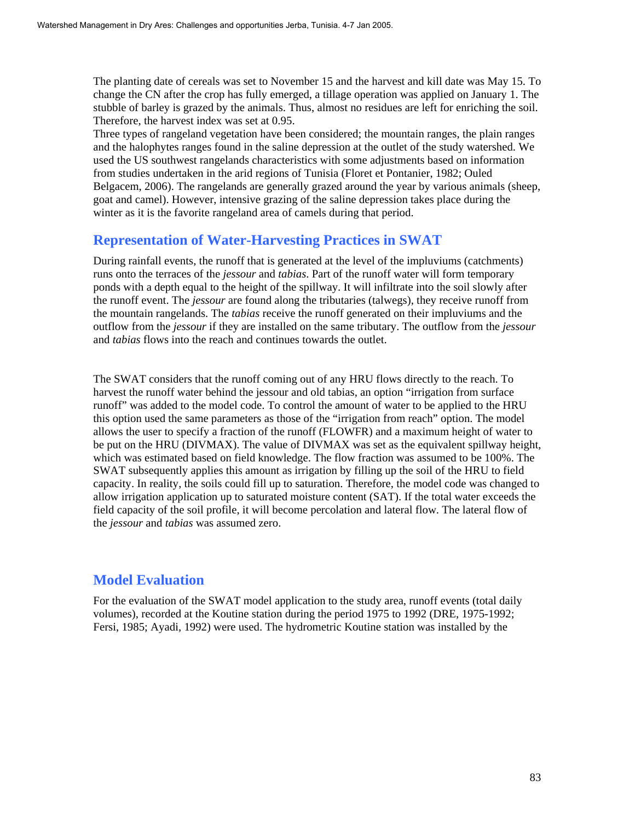The planting date of cereals was set to November 15 and the harvest and kill date was May 15. To change the CN after the crop has fully emerged, a tillage operation was applied on January 1. The stubble of barley is grazed by the animals. Thus, almost no residues are left for enriching the soil. Therefore, the harvest index was set at 0.95.

Three types of rangeland vegetation have been considered; the mountain ranges, the plain ranges and the halophytes ranges found in the saline depression at the outlet of the study watershed. We used the US southwest rangelands characteristics with some adjustments based on information from studies undertaken in the arid regions of Tunisia (Floret et Pontanier, 1982; Ouled Belgacem, 2006). The rangelands are generally grazed around the year by various animals (sheep, goat and camel). However, intensive grazing of the saline depression takes place during the winter as it is the favorite rangeland area of camels during that period.

### **Representation of Water-Harvesting Practices in SWAT**

During rainfall events, the runoff that is generated at the level of the impluviums (catchments) runs onto the terraces of the *jessour* and *tabias*. Part of the runoff water will form temporary ponds with a depth equal to the height of the spillway. It will infiltrate into the soil slowly after the runoff event. The *jessour* are found along the tributaries (talwegs), they receive runoff from the mountain rangelands. The *tabias* receive the runoff generated on their impluviums and the outflow from the *jessour* if they are installed on the same tributary. The outflow from the *jessour* and *tabias* flows into the reach and continues towards the outlet.

The SWAT considers that the runoff coming out of any HRU flows directly to the reach. To harvest the runoff water behind the jessour and old tabias, an option "irrigation from surface runoff" was added to the model code. To control the amount of water to be applied to the HRU this option used the same parameters as those of the "irrigation from reach" option. The model allows the user to specify a fraction of the runoff (FLOWFR) and a maximum height of water to be put on the HRU (DIVMAX). The value of DIVMAX was set as the equivalent spillway height, which was estimated based on field knowledge. The flow fraction was assumed to be 100%. The SWAT subsequently applies this amount as irrigation by filling up the soil of the HRU to field capacity. In reality, the soils could fill up to saturation. Therefore, the model code was changed to allow irrigation application up to saturated moisture content (SAT). If the total water exceeds the field capacity of the soil profile, it will become percolation and lateral flow. The lateral flow of the *jessour* and *tabias* was assumed zero.

# **Model Evaluation**

For the evaluation of the SWAT model application to the study area, runoff events (total daily volumes), recorded at the Koutine station during the period 1975 to 1992 (DRE, 1975-1992; Fersi, 1985; Ayadi, 1992) were used. The hydrometric Koutine station was installed by the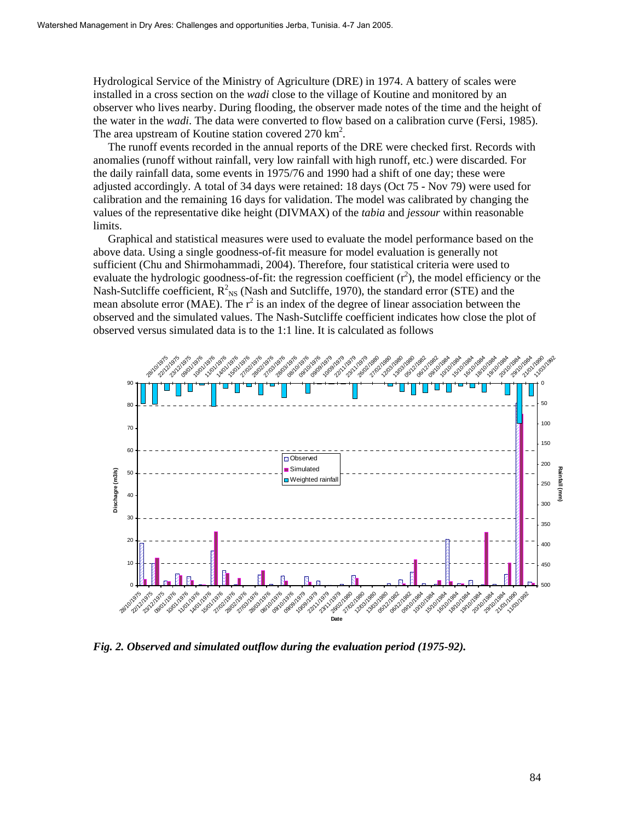Hydrological Service of the Ministry of Agriculture (DRE) in 1974. A battery of scales were installed in a cross section on the *wadi* close to the village of Koutine and monitored by an observer who lives nearby. During flooding, the observer made notes of the time and the height of the water in the *wadi*. The data were converted to flow based on a calibration curve (Fersi, 1985). The area upstream of Koutine station covered  $270 \text{ km}^2$ .

The runoff events recorded in the annual reports of the DRE were checked first. Records with anomalies (runoff without rainfall, very low rainfall with high runoff, etc.) were discarded. For the daily rainfall data, some events in 1975/76 and 1990 had a shift of one day; these were adjusted accordingly. A total of 34 days were retained: 18 days (Oct 75 - Nov 79) were used for calibration and the remaining 16 days for validation. The model was calibrated by changing the values of the representative dike height (DIVMAX) of the *tabia* and *jessour* within reasonable limits.

Graphical and statistical measures were used to evaluate the model performance based on the above data. Using a single goodness-of-fit measure for model evaluation is generally not sufficient (Chu and Shirmohammadi, 2004). Therefore, four statistical criteria were used to evaluate the hydrologic goodness-of-fit: the regression coefficient  $(r^2)$ , the model efficiency or the Nash-Sutcliffe coefficient,  $R_{NS}^2$  (Nash and Sutcliffe, 1970), the standard error (STE) and the mean absolute error (MAE). The  $r^2$  is an index of the degree of linear association between the observed and the simulated values. The Nash-Sutcliffe coefficient indicates how close the plot of observed versus simulated data is to the 1:1 line. It is calculated as follows



*Fig. 2. Observed and simulated outflow during the evaluation period (1975-92).*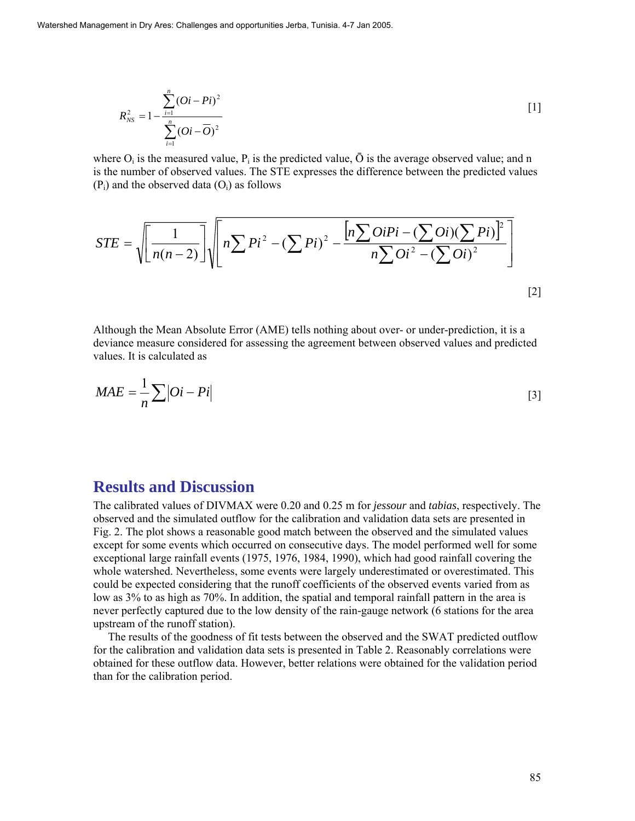$$
R_{NS}^{2} = 1 - \frac{\sum_{i=1}^{n} (Qi - Pi)^{2}}{\sum_{i=1}^{n} (Qi - \overline{O})^{2}}
$$
 [1]

where  $O_i$  is the measured value,  $P_i$  is the predicted value,  $\bar{O}$  is the average observed value; and n is the number of observed values. The STE expresses the difference between the predicted values  $(P_i)$  and the observed data  $(O_i)$  as follows

$$
STE = \sqrt{\left[\frac{1}{n(n-2)}\right]} \sqrt{n \sum P i^2 - (\sum P i)^2 - \frac{\left[n \sum O i P i - (\sum O i) (\sum P i)\right]^2}{n \sum O i^2 - (\sum O i)^2}}
$$
\n[2]

Although the Mean Absolute Error (AME) tells nothing about over- or under-prediction, it is a deviance measure considered for assessing the agreement between observed values and predicted values. It is calculated as

$$
MAE = \frac{1}{n} \sum |Oi - Pi|
$$
 [3]

## **Results and Discussion**

The calibrated values of DIVMAX were 0.20 and 0.25 m for *jessour* and *tabias*, respectively. The observed and the simulated outflow for the calibration and validation data sets are presented in Fig. 2. The plot shows a reasonable good match between the observed and the simulated values except for some events which occurred on consecutive days. The model performed well for some exceptional large rainfall events (1975, 1976, 1984, 1990), which had good rainfall covering the whole watershed. Nevertheless, some events were largely underestimated or overestimated. This could be expected considering that the runoff coefficients of the observed events varied from as low as 3% to as high as 70%. In addition, the spatial and temporal rainfall pattern in the area is never perfectly captured due to the low density of the rain-gauge network (6 stations for the area upstream of the runoff station).

The results of the goodness of fit tests between the observed and the SWAT predicted outflow for the calibration and validation data sets is presented in Table 2. Reasonably correlations were obtained for these outflow data. However, better relations were obtained for the validation period than for the calibration period.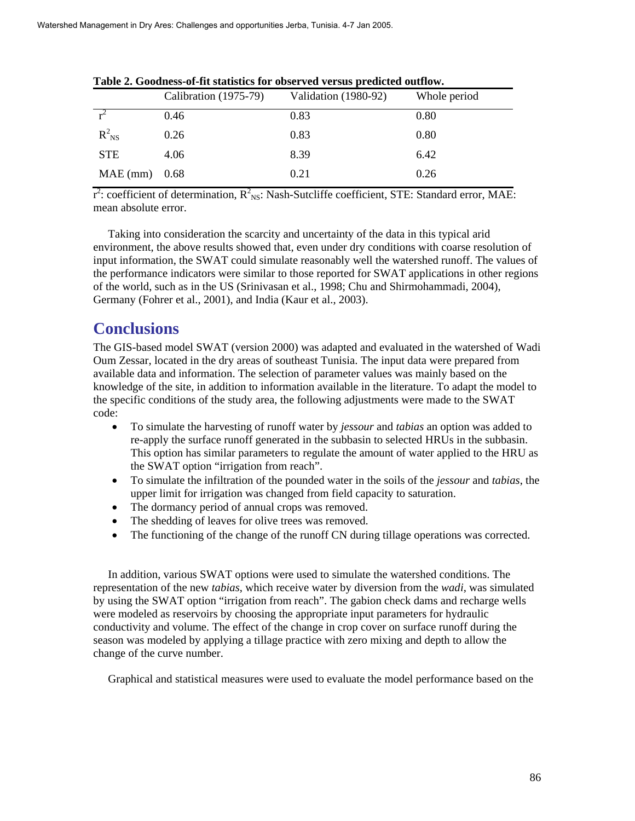|                 | Calibration (1975-79) | Validation (1980-92) | Whole period |
|-----------------|-----------------------|----------------------|--------------|
| $\frac{1}{r^2}$ | 0.46                  | 0.83                 | 0.80         |
| $R_{NS}^2$      | 0.26                  | 0.83                 | 0.80         |
| <b>STE</b>      | 4.06                  | 8.39                 | 6.42         |
| $MAE$ (mm) 0.68 |                       | 0.21                 | 0.26         |

|  |  | Table 2. Goodness-of-fit statistics for observed versus predicted outflow. |
|--|--|----------------------------------------------------------------------------|
|--|--|----------------------------------------------------------------------------|

 $r^2$ : coefficient of determination,  $R^2_{NS}$ : Nash-Sutcliffe coefficient, STE: Standard error, MAE: mean absolute error.

Taking into consideration the scarcity and uncertainty of the data in this typical arid environment, the above results showed that, even under dry conditions with coarse resolution of input information, the SWAT could simulate reasonably well the watershed runoff. The values of the performance indicators were similar to those reported for SWAT applications in other regions of the world, such as in the US (Srinivasan et al., 1998; Chu and Shirmohammadi, 2004), Germany (Fohrer et al., 2001), and India (Kaur et al., 2003).

# **Conclusions**

The GIS-based model SWAT (version 2000) was adapted and evaluated in the watershed of Wadi Oum Zessar, located in the dry areas of southeast Tunisia. The input data were prepared from available data and information. The selection of parameter values was mainly based on the knowledge of the site, in addition to information available in the literature. To adapt the model to the specific conditions of the study area, the following adjustments were made to the SWAT code:

- To simulate the harvesting of runoff water by *jessour* and *tabias* an option was added to re-apply the surface runoff generated in the subbasin to selected HRUs in the subbasin. This option has similar parameters to regulate the amount of water applied to the HRU as the SWAT option "irrigation from reach".
- To simulate the infiltration of the pounded water in the soils of the *jessour* and *tabias*, the upper limit for irrigation was changed from field capacity to saturation.
- The dormancy period of annual crops was removed.
- The shedding of leaves for olive trees was removed.
- The functioning of the change of the runoff CN during tillage operations was corrected.

In addition, various SWAT options were used to simulate the watershed conditions. The representation of the new *tabias*, which receive water by diversion from the *wadi*, was simulated by using the SWAT option "irrigation from reach". The gabion check dams and recharge wells were modeled as reservoirs by choosing the appropriate input parameters for hydraulic conductivity and volume. The effect of the change in crop cover on surface runoff during the season was modeled by applying a tillage practice with zero mixing and depth to allow the change of the curve number.

Graphical and statistical measures were used to evaluate the model performance based on the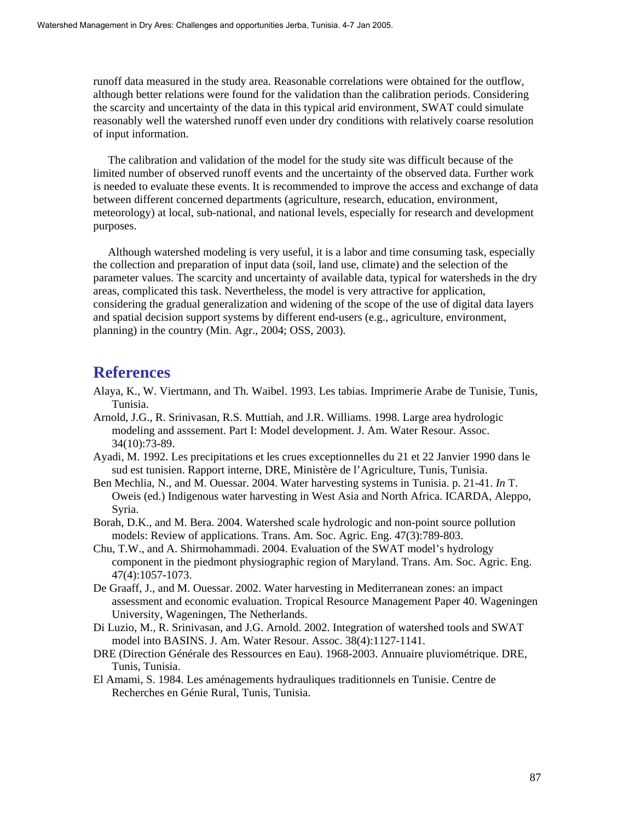runoff data measured in the study area. Reasonable correlations were obtained for the outflow, although better relations were found for the validation than the calibration periods. Considering the scarcity and uncertainty of the data in this typical arid environment, SWAT could simulate reasonably well the watershed runoff even under dry conditions with relatively coarse resolution of input information.

The calibration and validation of the model for the study site was difficult because of the limited number of observed runoff events and the uncertainty of the observed data. Further work is needed to evaluate these events. It is recommended to improve the access and exchange of data between different concerned departments (agriculture, research, education, environment, meteorology) at local, sub-national, and national levels, especially for research and development purposes.

Although watershed modeling is very useful, it is a labor and time consuming task, especially the collection and preparation of input data (soil, land use, climate) and the selection of the parameter values. The scarcity and uncertainty of available data, typical for watersheds in the dry areas, complicated this task. Nevertheless, the model is very attractive for application, considering the gradual generalization and widening of the scope of the use of digital data layers and spatial decision support systems by different end-users (e.g., agriculture, environment, planning) in the country (Min. Agr., 2004; OSS, 2003).

## **References**

- Alaya, K., W. Viertmann, and Th. Waibel. 1993. Les tabias. Imprimerie Arabe de Tunisie, Tunis, Tunisia.
- Arnold, J.G., R. Srinivasan, R.S. Muttiah, and J.R. Williams. 1998. Large area hydrologic modeling and asssement. Part I: Model development. J. Am. Water Resour. Assoc. 34(10):73-89.
- Ayadi, M. 1992. Les precipitations et les crues exceptionnelles du 21 et 22 Janvier 1990 dans le sud est tunisien. Rapport interne, DRE, Ministère de l'Agriculture, Tunis, Tunisia.
- Ben Mechlia, N., and M. Ouessar. 2004. Water harvesting systems in Tunisia. p. 21-41. *In* T. Oweis (ed.) Indigenous water harvesting in West Asia and North Africa. ICARDA, Aleppo, Syria.
- Borah, D.K., and M. Bera. 2004. Watershed scale hydrologic and non-point source pollution models: Review of applications. Trans. Am. Soc. Agric. Eng. 47(3):789-803.
- Chu, T.W., and A. Shirmohammadi. 2004. Evaluation of the SWAT model's hydrology component in the piedmont physiographic region of Maryland. Trans. Am. Soc. Agric. Eng. 47(4):1057-1073.
- De Graaff, J., and M. Ouessar. 2002. Water harvesting in Mediterranean zones: an impact assessment and economic evaluation. Tropical Resource Management Paper 40. Wageningen University, Wageningen, The Netherlands.
- Di Luzio, M., R. Srinivasan, and J.G. Arnold. 2002. Integration of watershed tools and SWAT model into BASINS. J. Am. Water Resour. Assoc. 38(4):1127-1141.
- DRE (Direction Générale des Ressources en Eau). 1968-2003. Annuaire pluviométrique. DRE, Tunis, Tunisia.
- El Amami, S. 1984. Les aménagements hydrauliques traditionnels en Tunisie. Centre de Recherches en Génie Rural, Tunis, Tunisia.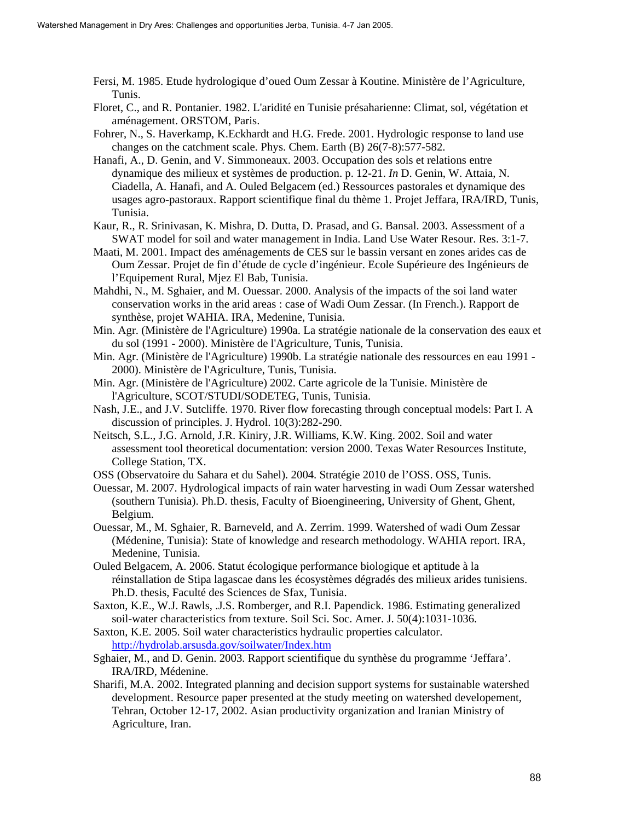- Fersi, M. 1985. Etude hydrologique d'oued Oum Zessar à Koutine. Ministère de l'Agriculture, Tunis.
- Floret, C., and R. Pontanier. 1982. L'aridité en Tunisie présaharienne: Climat, sol, végétation et aménagement. ORSTOM, Paris.
- Fohrer, N., S. Haverkamp, K.Eckhardt and H.G. Frede. 2001. Hydrologic response to land use changes on the catchment scale. Phys. Chem. Earth (B) 26(7-8):577-582.
- Hanafi, A., D. Genin, and V. Simmoneaux. 2003. Occupation des sols et relations entre dynamique des milieux et systèmes de production. p. 12-21. *In* D. Genin, W. Attaia, N. Ciadella, A. Hanafi, and A. Ouled Belgacem (ed.) Ressources pastorales et dynamique des usages agro-pastoraux. Rapport scientifique final du thème 1. Projet Jeffara, IRA/IRD, Tunis, Tunisia.
- Kaur, R., R. Srinivasan, K. Mishra, D. Dutta, D. Prasad, and G. Bansal. 2003. Assessment of a SWAT model for soil and water management in India. Land Use Water Resour. Res. 3:1-7.
- Maati, M. 2001. Impact des aménagements de CES sur le bassin versant en zones arides cas de Oum Zessar. Projet de fin d'étude de cycle d'ingénieur. Ecole Supérieure des Ingénieurs de l'Equipement Rural, Mjez El Bab, Tunisia.
- Mahdhi, N., M. Sghaier, and M. Ouessar. 2000. Analysis of the impacts of the soi land water conservation works in the arid areas : case of Wadi Oum Zessar. (In French.). Rapport de synthèse, projet WAHIA. IRA, Medenine, Tunisia.
- Min. Agr. (Ministère de l'Agriculture) 1990a. La stratégie nationale de la conservation des eaux et du sol (1991 - 2000). Ministère de l'Agriculture, Tunis, Tunisia.
- Min. Agr. (Ministère de l'Agriculture) 1990b. La stratégie nationale des ressources en eau 1991 2000). Ministère de l'Agriculture, Tunis, Tunisia.
- Min. Agr. (Ministère de l'Agriculture) 2002. Carte agricole de la Tunisie. Ministère de l'Agriculture, SCOT/STUDI/SODETEG, Tunis, Tunisia.
- Nash, J.E., and J.V. Sutcliffe. 1970. River flow forecasting through conceptual models: Part I. A discussion of principles. J. Hydrol. 10(3):282-290.
- Neitsch, S.L., J.G. Arnold, J.R. Kiniry, J.R. Williams, K.W. King. 2002. Soil and water assessment tool theoretical documentation: version 2000. Texas Water Resources Institute, College Station, TX.
- OSS (Observatoire du Sahara et du Sahel). 2004. Stratégie 2010 de l'OSS. OSS, Tunis.
- Ouessar, M. 2007. Hydrological impacts of rain water harvesting in wadi Oum Zessar watershed (southern Tunisia). Ph.D. thesis, Faculty of Bioengineering, University of Ghent, Ghent, Belgium.
- Ouessar, M., M. Sghaier, R. Barneveld, and A. Zerrim. 1999. Watershed of wadi Oum Zessar (Médenine, Tunisia): State of knowledge and research methodology. WAHIA report. IRA, Medenine, Tunisia.
- Ouled Belgacem, A. 2006. Statut écologique performance biologique et aptitude à la réinstallation de Stipa lagascae dans les écosystèmes dégradés des milieux arides tunisiens. Ph.D. thesis, Faculté des Sciences de Sfax, Tunisia.
- Saxton, K.E., W.J. Rawls, .J.S. Romberger, and R.I. Papendick. 1986. Estimating generalized soil-water characteristics from texture. Soil Sci. Soc. Amer. J. 50(4):1031-1036.
- Saxton, K.E. 2005. Soil water characteristics hydraulic properties calculator. http://hydrolab.arsusda.gov/soilwater/Index.htm
- Sghaier, M., and D. Genin. 2003. Rapport scientifique du synthèse du programme 'Jeffara'. IRA/IRD, Médenine.
- Sharifi, M.A. 2002. Integrated planning and decision support systems for sustainable watershed development. Resource paper presented at the study meeting on watershed developement, Tehran, October 12-17, 2002. Asian productivity organization and Iranian Ministry of Agriculture, Iran.